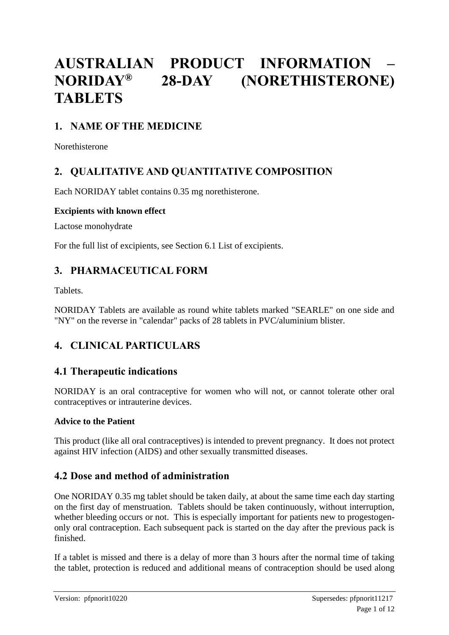# **AUSTRALIAN PRODUCT INFORMATION –<br>NORIDAY® 28-DAY (NORETHISTERONE) NORIDAY® 28-DAY (NORETHISTERONE) TABLETS**

# **1. NAME OF THE MEDICINE**

Norethisterone

# **2. QUALITATIVE AND QUANTITATIVE COMPOSITION**

Each NORIDAY tablet contains 0.35 mg norethisterone.

#### **Excipients with known effect**

Lactose monohydrate

For the full list of excipients, see Section 6.1 List of excipients.

# **3. PHARMACEUTICAL FORM**

Tablets.

NORIDAY Tablets are available as round white tablets marked "SEARLE" on one side and "NY" on the reverse in "calendar" packs of 28 tablets in PVC/aluminium blister.

# **4. CLINICAL PARTICULARS**

# **4.1 Therapeutic indications**

NORIDAY is an oral contraceptive for women who will not, or cannot tolerate other oral contraceptives or intrauterine devices.

### **Advice to the Patient**

This product (like all oral contraceptives) is intended to prevent pregnancy. It does not protect against HIV infection (AIDS) and other sexually transmitted diseases.

# **4.2 Dose and method of administration**

One NORIDAY 0.35 mg tablet should be taken daily, at about the same time each day starting on the first day of menstruation. Tablets should be taken continuously, without interruption, whether bleeding occurs or not. This is especially important for patients new to progestogenonly oral contraception. Each subsequent pack is started on the day after the previous pack is finished.

If a tablet is missed and there is a delay of more than 3 hours after the normal time of taking the tablet, protection is reduced and additional means of contraception should be used along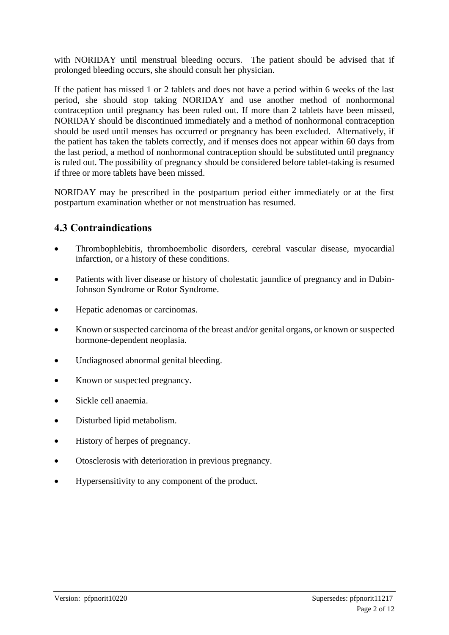with NORIDAY until menstrual bleeding occurs. The patient should be advised that if prolonged bleeding occurs, she should consult her physician.

If the patient has missed 1 or 2 tablets and does not have a period within 6 weeks of the last period, she should stop taking NORIDAY and use another method of nonhormonal contraception until pregnancy has been ruled out. If more than 2 tablets have been missed, NORIDAY should be discontinued immediately and a method of nonhormonal contraception should be used until menses has occurred or pregnancy has been excluded. Alternatively, if the patient has taken the tablets correctly, and if menses does not appear within 60 days from the last period, a method of nonhormonal contraception should be substituted until pregnancy is ruled out. The possibility of pregnancy should be considered before tablet-taking is resumed if three or more tablets have been missed.

NORIDAY may be prescribed in the postpartum period either immediately or at the first postpartum examination whether or not menstruation has resumed.

# **4.3 Contraindications**

- Thrombophlebitis, thromboembolic disorders, cerebral vascular disease, myocardial infarction, or a history of these conditions.
- Patients with liver disease or history of cholestatic jaundice of pregnancy and in Dubin-Johnson Syndrome or Rotor Syndrome.
- Hepatic adenomas or carcinomas.
- Known or suspected carcinoma of the breast and/or genital organs, or known or suspected hormone-dependent neoplasia.
- Undiagnosed abnormal genital bleeding.
- Known or suspected pregnancy.
- Sickle cell anaemia.
- Disturbed lipid metabolism.
- History of herpes of pregnancy.
- Otosclerosis with deterioration in previous pregnancy.
- Hypersensitivity to any component of the product.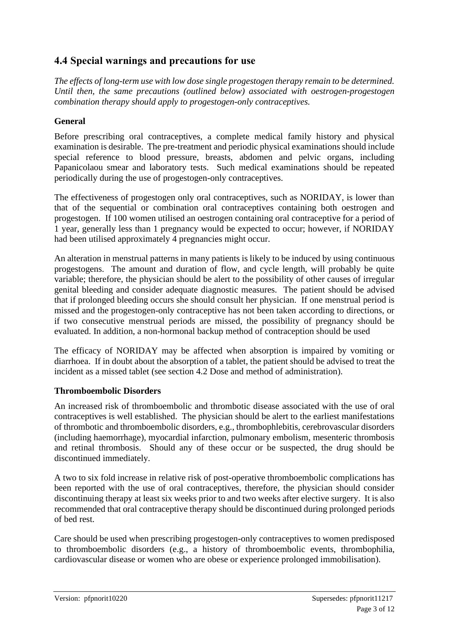# **4.4 Special warnings and precautions for use**

*The effects of long-term use with low dose single progestogen therapy remain to be determined. Until then, the same precautions (outlined below) associated with oestrogen-progestogen combination therapy should apply to progestogen-only contraceptives.*

### **General**

Before prescribing oral contraceptives, a complete medical family history and physical examination is desirable. The pre-treatment and periodic physical examinations should include special reference to blood pressure, breasts, abdomen and pelvic organs, including Papanicolaou smear and laboratory tests. Such medical examinations should be repeated periodically during the use of progestogen-only contraceptives.

The effectiveness of progestogen only oral contraceptives, such as NORIDAY, is lower than that of the sequential or combination oral contraceptives containing both oestrogen and progestogen. If 100 women utilised an oestrogen containing oral contraceptive for a period of 1 year, generally less than 1 pregnancy would be expected to occur; however, if NORIDAY had been utilised approximately 4 pregnancies might occur.

An alteration in menstrual patterns in many patients is likely to be induced by using continuous progestogens. The amount and duration of flow, and cycle length, will probably be quite variable; therefore, the physician should be alert to the possibility of other causes of irregular genital bleeding and consider adequate diagnostic measures. The patient should be advised that if prolonged bleeding occurs she should consult her physician. If one menstrual period is missed and the progestogen-only contraceptive has not been taken according to directions, or if two consecutive menstrual periods are missed, the possibility of pregnancy should be evaluated. In addition, a non-hormonal backup method of contraception should be used

The efficacy of NORIDAY may be affected when absorption is impaired by vomiting or diarrhoea. If in doubt about the absorption of a tablet, the patient should be advised to treat the incident as a missed tablet (see section 4.2 Dose and method of administration).

### **Thromboembolic Disorders**

An increased risk of thromboembolic and thrombotic disease associated with the use of oral contraceptives is well established. The physician should be alert to the earliest manifestations of thrombotic and thromboembolic disorders, e.g., thrombophlebitis, cerebrovascular disorders (including haemorrhage), myocardial infarction, pulmonary embolism, mesenteric thrombosis and retinal thrombosis. Should any of these occur or be suspected, the drug should be discontinued immediately.

A two to six fold increase in relative risk of post-operative thromboembolic complications has been reported with the use of oral contraceptives, therefore, the physician should consider discontinuing therapy at least six weeks prior to and two weeks after elective surgery. It is also recommended that oral contraceptive therapy should be discontinued during prolonged periods of bed rest.

Care should be used when prescribing progestogen-only contraceptives to women predisposed to thromboembolic disorders (e.g., a history of thromboembolic events, thrombophilia, cardiovascular disease or women who are obese or experience prolonged immobilisation).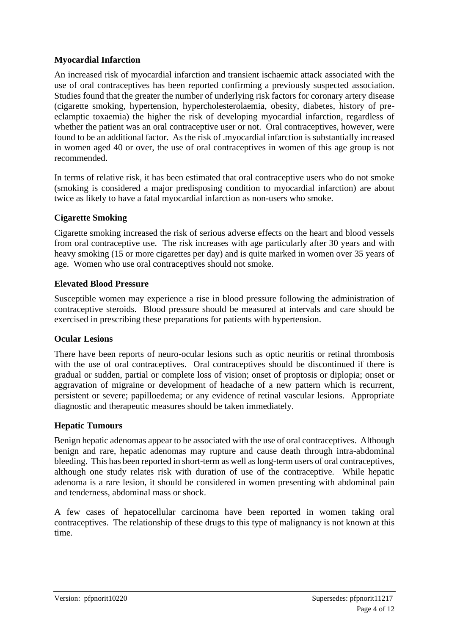### **Myocardial Infarction**

An increased risk of myocardial infarction and transient ischaemic attack associated with the use of oral contraceptives has been reported confirming a previously suspected association. Studies found that the greater the number of underlying risk factors for coronary artery disease (cigarette smoking, hypertension, hypercholesterolaemia, obesity, diabetes, history of preeclamptic toxaemia) the higher the risk of developing myocardial infarction, regardless of whether the patient was an oral contraceptive user or not. Oral contraceptives, however, were found to be an additional factor. As the risk of .myocardial infarction is substantially increased in women aged 40 or over, the use of oral contraceptives in women of this age group is not recommended.

In terms of relative risk, it has been estimated that oral contraceptive users who do not smoke (smoking is considered a major predisposing condition to myocardial infarction) are about twice as likely to have a fatal myocardial infarction as non-users who smoke.

#### **Cigarette Smoking**

Cigarette smoking increased the risk of serious adverse effects on the heart and blood vessels from oral contraceptive use. The risk increases with age particularly after 30 years and with heavy smoking (15 or more cigarettes per day) and is quite marked in women over 35 years of age. Women who use oral contraceptives should not smoke.

#### **Elevated Blood Pressure**

Susceptible women may experience a rise in blood pressure following the administration of contraceptive steroids. Blood pressure should be measured at intervals and care should be exercised in prescribing these preparations for patients with hypertension.

### **Ocular Lesions**

There have been reports of neuro-ocular lesions such as optic neuritis or retinal thrombosis with the use of oral contraceptives. Oral contraceptives should be discontinued if there is gradual or sudden, partial or complete loss of vision; onset of proptosis or diplopia; onset or aggravation of migraine or development of headache of a new pattern which is recurrent, persistent or severe; papilloedema; or any evidence of retinal vascular lesions. Appropriate diagnostic and therapeutic measures should be taken immediately.

#### **Hepatic Tumours**

Benign hepatic adenomas appear to be associated with the use of oral contraceptives. Although benign and rare, hepatic adenomas may rupture and cause death through intra-abdominal bleeding. This has been reported in short-term as well as long-term users of oral contraceptives, although one study relates risk with duration of use of the contraceptive. While hepatic adenoma is a rare lesion, it should be considered in women presenting with abdominal pain and tenderness, abdominal mass or shock.

A few cases of hepatocellular carcinoma have been reported in women taking oral contraceptives. The relationship of these drugs to this type of malignancy is not known at this time.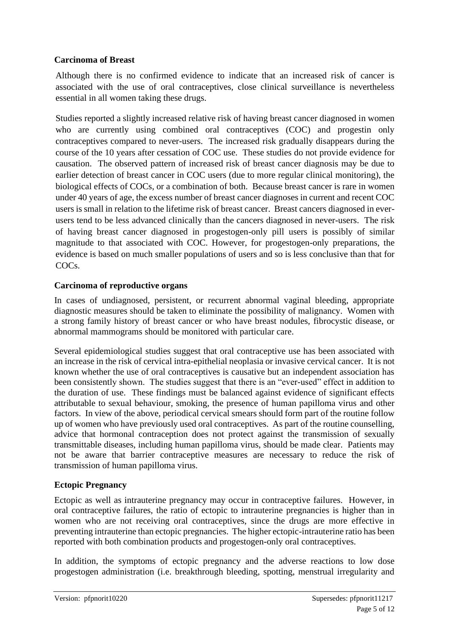### **Carcinoma of Breast**

Although there is no confirmed evidence to indicate that an increased risk of cancer is associated with the use of oral contraceptives, close clinical surveillance is nevertheless essential in all women taking these drugs.

Studies reported a slightly increased relative risk of having breast cancer diagnosed in women who are currently using combined oral contraceptives (COC) and progestin only contraceptives compared to never-users. The increased risk gradually disappears during the course of the 10 years after cessation of COC use. These studies do not provide evidence for causation. The observed pattern of increased risk of breast cancer diagnosis may be due to earlier detection of breast cancer in COC users (due to more regular clinical monitoring), the biological effects of COCs, or a combination of both. Because breast cancer is rare in women under 40 years of age, the excess number of breast cancer diagnoses in current and recent COC users is small in relation to the lifetime risk of breast cancer. Breast cancers diagnosed in everusers tend to be less advanced clinically than the cancers diagnosed in never-users. The risk of having breast cancer diagnosed in progestogen-only pill users is possibly of similar magnitude to that associated with COC. However, for progestogen-only preparations, the evidence is based on much smaller populations of users and so is less conclusive than that for COCs.

#### **Carcinoma of reproductive organs**

In cases of undiagnosed, persistent, or recurrent abnormal vaginal bleeding, appropriate diagnostic measures should be taken to eliminate the possibility of malignancy. Women with a strong family history of breast cancer or who have breast nodules, fibrocystic disease, or abnormal mammograms should be monitored with particular care.

Several epidemiological studies suggest that oral contraceptive use has been associated with an increase in the risk of cervical intra-epithelial neoplasia or invasive cervical cancer. It is not known whether the use of oral contraceptives is causative but an independent association has been consistently shown. The studies suggest that there is an "ever-used" effect in addition to the duration of use. These findings must be balanced against evidence of significant effects attributable to sexual behaviour, smoking, the presence of human papilloma virus and other factors. In view of the above, periodical cervical smears should form part of the routine follow up of women who have previously used oral contraceptives. As part of the routine counselling, advice that hormonal contraception does not protect against the transmission of sexually transmittable diseases, including human papilloma virus, should be made clear. Patients may not be aware that barrier contraceptive measures are necessary to reduce the risk of transmission of human papilloma virus.

#### **Ectopic Pregnancy**

Ectopic as well as intrauterine pregnancy may occur in contraceptive failures. However, in oral contraceptive failures, the ratio of ectopic to intrauterine pregnancies is higher than in women who are not receiving oral contraceptives, since the drugs are more effective in preventing intrauterine than ectopic pregnancies. The higher ectopic-intrauterine ratio has been reported with both combination products and progestogen-only oral contraceptives.

In addition, the symptoms of ectopic pregnancy and the adverse reactions to low dose progestogen administration (i.e. breakthrough bleeding, spotting, menstrual irregularity and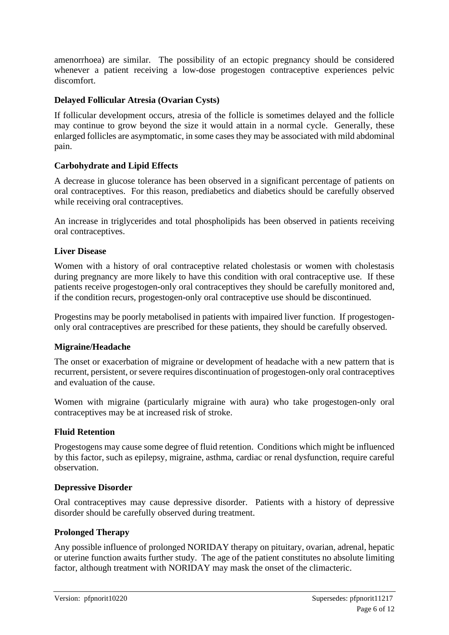amenorrhoea) are similar. The possibility of an ectopic pregnancy should be considered whenever a patient receiving a low-dose progestogen contraceptive experiences pelvic discomfort.

### **Delayed Follicular Atresia (Ovarian Cysts)**

If follicular development occurs, atresia of the follicle is sometimes delayed and the follicle may continue to grow beyond the size it would attain in a normal cycle. Generally, these enlarged follicles are asymptomatic, in some cases they may be associated with mild abdominal pain.

#### **Carbohydrate and Lipid Effects**

A decrease in glucose tolerance has been observed in a significant percentage of patients on oral contraceptives. For this reason, prediabetics and diabetics should be carefully observed while receiving oral contraceptives.

An increase in triglycerides and total phospholipids has been observed in patients receiving oral contraceptives.

#### **Liver Disease**

Women with a history of oral contraceptive related cholestasis or women with cholestasis during pregnancy are more likely to have this condition with oral contraceptive use. If these patients receive progestogen-only oral contraceptives they should be carefully monitored and, if the condition recurs, progestogen-only oral contraceptive use should be discontinued.

Progestins may be poorly metabolised in patients with impaired liver function. If progestogenonly oral contraceptives are prescribed for these patients, they should be carefully observed.

#### **Migraine/Headache**

The onset or exacerbation of migraine or development of headache with a new pattern that is recurrent, persistent, or severe requires discontinuation of progestogen-only oral contraceptives and evaluation of the cause.

Women with migraine (particularly migraine with aura) who take progestogen-only oral contraceptives may be at increased risk of stroke.

#### **Fluid Retention**

Progestogens may cause some degree of fluid retention. Conditions which might be influenced by this factor, such as epilepsy, migraine, asthma, cardiac or renal dysfunction, require careful observation.

#### **Depressive Disorder**

Oral contraceptives may cause depressive disorder. Patients with a history of depressive disorder should be carefully observed during treatment.

### **Prolonged Therapy**

Any possible influence of prolonged NORIDAY therapy on pituitary, ovarian, adrenal, hepatic or uterine function awaits further study. The age of the patient constitutes no absolute limiting factor, although treatment with NORIDAY may mask the onset of the climacteric.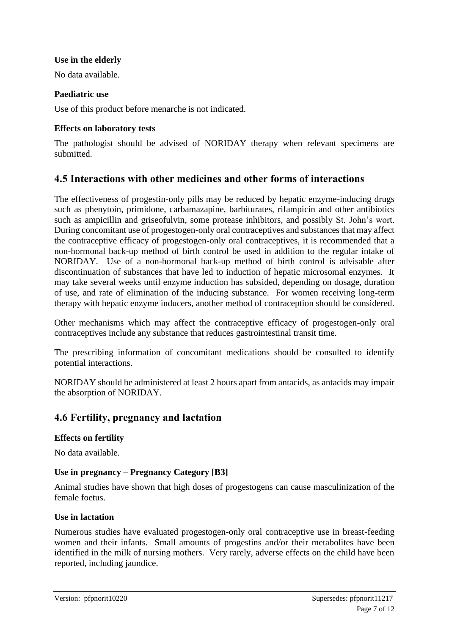#### **Use in the elderly**

No data available.

#### **Paediatric use**

Use of this product before menarche is not indicated.

#### **Effects on laboratory tests**

The pathologist should be advised of NORIDAY therapy when relevant specimens are submitted.

# **4.5 Interactions with other medicines and other forms of interactions**

The effectiveness of progestin-only pills may be reduced by hepatic enzyme-inducing drugs such as phenytoin, primidone, carbamazapine, barbiturates, rifampicin and other antibiotics such as ampicillin and griseofulvin, some protease inhibitors, and possibly St. John's wort. During concomitant use of progestogen-only oral contraceptives and substances that may affect the contraceptive efficacy of progestogen-only oral contraceptives, it is recommended that a non-hormonal back-up method of birth control be used in addition to the regular intake of NORIDAY. Use of a non-hormonal back-up method of birth control is advisable after discontinuation of substances that have led to induction of hepatic microsomal enzymes. It may take several weeks until enzyme induction has subsided, depending on dosage, duration of use, and rate of elimination of the inducing substance. For women receiving long-term therapy with hepatic enzyme inducers, another method of contraception should be considered.

Other mechanisms which may affect the contraceptive efficacy of progestogen-only oral contraceptives include any substance that reduces gastrointestinal transit time.

The prescribing information of concomitant medications should be consulted to identify potential interactions.

NORIDAY should be administered at least 2 hours apart from antacids, as antacids may impair the absorption of NORIDAY.

# **4.6 Fertility, pregnancy and lactation**

#### **Effects on fertility**

No data available.

#### **Use in pregnancy – Pregnancy Category [B3]**

Animal studies have shown that high doses of progestogens can cause masculinization of the female foetus.

#### **Use in lactation**

Numerous studies have evaluated progestogen-only oral contraceptive use in breast-feeding women and their infants. Small amounts of progestins and/or their metabolites have been identified in the milk of nursing mothers. Very rarely, adverse effects on the child have been reported, including jaundice.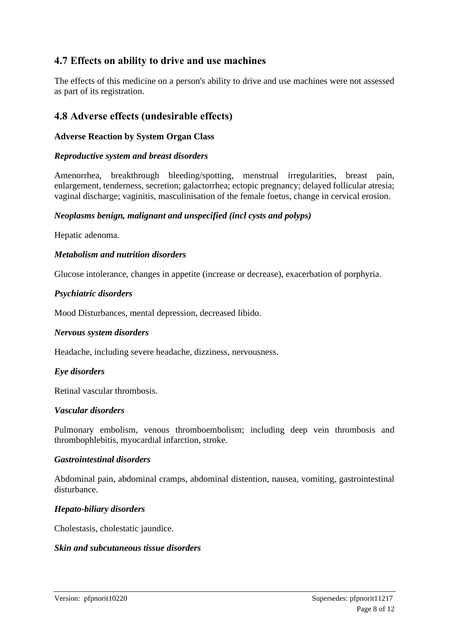# **4.7 Effects on ability to drive and use machines**

The effects of this medicine on a person's ability to drive and use machines were not assessed as part of its registration.

# **4.8 Adverse effects (undesirable effects)**

#### **Adverse Reaction by System Organ Class**

#### *Reproductive system and breast disorders*

Amenorrhea, breakthrough bleeding/spotting, menstrual irregularities, breast pain, enlargement, tenderness, secretion; galactorrhea; ectopic pregnancy; delayed follicular atresia; vaginal discharge; vaginitis, masculinisation of the female foetus, change in cervical erosion.

#### *Neoplasms benign, malignant and unspecified (incl cysts and polyps)*

Hepatic adenoma.

#### *Metabolism and nutrition disorders*

Glucose intolerance, changes in appetite (increase or decrease), exacerbation of porphyria.

#### *Psychiatric disorders*

Mood Disturbances, mental depression, decreased libido.

#### *Nervous system disorders*

Headache, including severe headache, dizziness, nervousness.

#### *Eye disorders*

Retinal vascular thrombosis.

#### *Vascular disorders*

Pulmonary embolism, venous thromboembolism; including deep vein thrombosis and thrombophlebitis, myocardial infarction, stroke.

#### *Gastrointestinal disorders*

Abdominal pain, abdominal cramps, abdominal distention, nausea, vomiting, gastrointestinal disturbance.

#### *Hepato-biliary disorders*

Cholestasis, cholestatic jaundice.

#### *Skin and subcutaneous tissue disorders*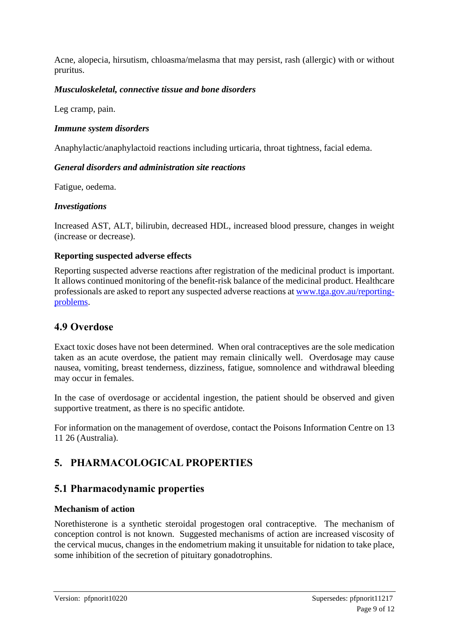Acne, alopecia, hirsutism, chloasma/melasma that may persist, rash (allergic) with or without pruritus.

### *Musculoskeletal, connective tissue and bone disorders*

Leg cramp, pain.

#### *Immune system disorders*

Anaphylactic/anaphylactoid reactions including urticaria, throat tightness, facial edema.

#### *General disorders and administration site reactions*

Fatigue, oedema.

#### *Investigations*

Increased AST, ALT, bilirubin, decreased HDL, increased blood pressure, changes in weight (increase or decrease).

#### **Reporting suspected adverse effects**

Reporting suspected adverse reactions after registration of the medicinal product is important. It allows continued monitoring of the benefit-risk balance of the medicinal product. Healthcare professionals are asked to report any suspected adverse reactions at [www.tga.gov.au/reporting](http://www.tga.gov.au/reporting-problems)[problems.](http://www.tga.gov.au/reporting-problems)

# **4.9 Overdose**

Exact toxic doses have not been determined. When oral contraceptives are the sole medication taken as an acute overdose, the patient may remain clinically well. Overdosage may cause nausea, vomiting, breast tenderness, dizziness, fatigue, somnolence and withdrawal bleeding may occur in females.

In the case of overdosage or accidental ingestion, the patient should be observed and given supportive treatment, as there is no specific antidote*.* 

For information on the management of overdose, contact the Poisons Information Centre on 13 11 26 (Australia).

# **5. PHARMACOLOGICAL PROPERTIES**

# **5.1 Pharmacodynamic properties**

### **Mechanism of action**

Norethisterone is a synthetic steroidal progestogen oral contraceptive. The mechanism of conception control is not known. Suggested mechanisms of action are increased viscosity of the cervical mucus, changes in the endometrium making it unsuitable for nidation to take place, some inhibition of the secretion of pituitary gonadotrophins.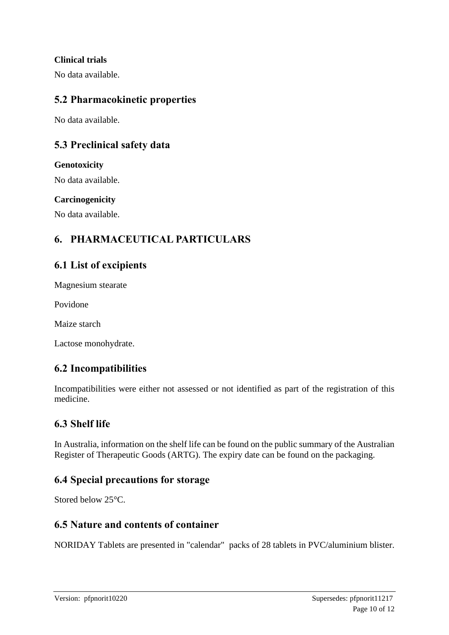### **Clinical trials**

No data available.

# **5.2 Pharmacokinetic properties**

No data available.

# **5.3 Preclinical safety data**

#### **Genotoxicity**

No data available.

### **Carcinogenicity**

No data available.

# **6. PHARMACEUTICAL PARTICULARS**

# **6.1 List of excipients**

Magnesium stearate

Povidone

Maize starch

Lactose monohydrate.

# **6.2 Incompatibilities**

Incompatibilities were either not assessed or not identified as part of the registration of this medicine.

# **6.3 Shelf life**

In Australia, information on the shelf life can be found on the public summary of the Australian Register of Therapeutic Goods (ARTG). The expiry date can be found on the packaging.

# **6.4 Special precautions for storage**

Stored below 25°C.

### **6.5 Nature and contents of container**

NORIDAY Tablets are presented in "calendar" packs of 28 tablets in PVC/aluminium blister.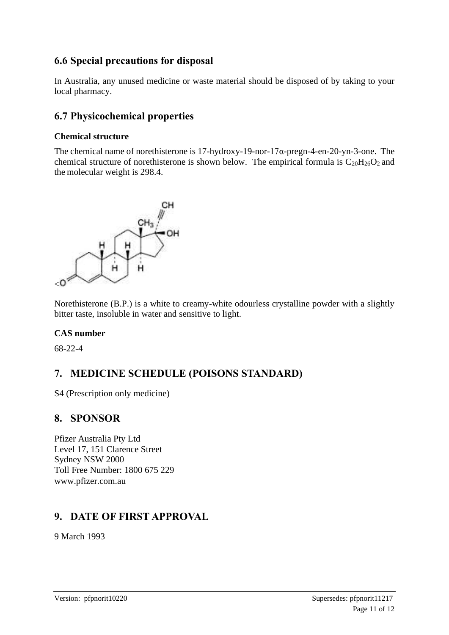# **6.6 Special precautions for disposal**

In Australia, any unused medicine or waste material should be disposed of by taking to your local pharmacy.

# **6.7 Physicochemical properties**

### **Chemical structure**

The chemical name of norethisterone is 17-hydroxy-19-nor-17α-pregn-4-en-20-yn-3-one. The chemical structure of norethisterone is shown below. The empirical formula is  $C_{20}H_{26}O_2$  and the molecular weight is 298.4.



Norethisterone (B.P.) is a white to creamy-white odourless crystalline powder with a slightly bitter taste, insoluble in water and sensitive to light.

### **CAS number**

68-22-4

# **7. MEDICINE SCHEDULE (POISONS STANDARD)**

S4 (Prescription only medicine)

# **8. SPONSOR**

Pfizer Australia Pty Ltd Level 17, 151 Clarence Street Sydney NSW 2000 Toll Free Number: 1800 675 229 www.pfizer.com.au

# **9. DATE OF FIRST APPROVAL**

9 March 1993